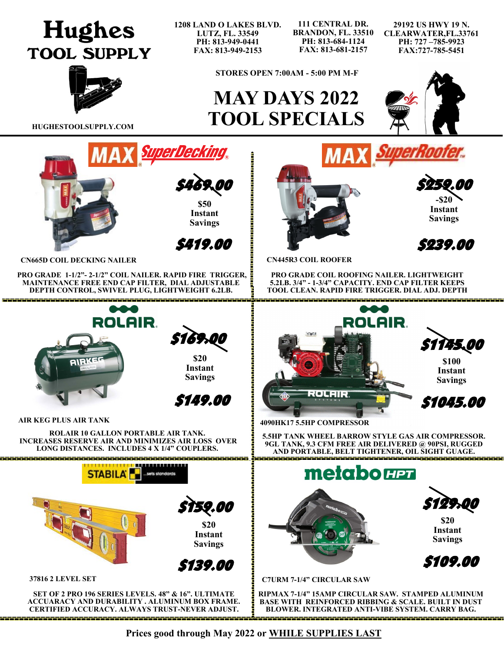# **Hughes TOOL SUPPLY**

**1208 LAND O LAKES BLVD. LUTZ, FL. 33549 PH: 813-949-0441 FAX: 813-949-2153**

**111 CENTRAL DR. BRANDON, FL. 33510 PH: 813-684-1124 FAX: 813-681-2157**

**29192 US HWY 19 N. CLEARWATER,FL.33761 PH: 727 –785-9923 FAX:727-785-5451**



**STORES OPEN 7:00AM - 5:00 PM M-F**

## **MAY DAYS 2022 HUGHESTOOLSUPPLY.COM TOOL SPECIALS**





**PRO GRADE 1-1/2"- 2-1/2" COIL NAILER. RAPID FIRE TRIGGER, MAINTENANCE FREE END CAP FILTER, DIAL ADJUSTABLE DEPTH CONTROL, SWIVEL PLUG, LIGHTWEIGHT 6.2LB.**

<u> A BARA DA BARA DA BARA DA BARA DA BARA DA BARA DA BARA DA BARA DA BARA DA B</u>

**ROLAIR** 

**\$20 Instant Savings** 

\$169.00

\$149.00

**ROLAIR 10 GALLON PORTABLE AIR TANK. INCREASES RESERVE AIR AND MINIMIZES AIR LOSS OVER LONG DISTANCES. INCLUDES 4 X 1/4" COUPLERS.**

**CERTIFIED ACCURACY. ALWAYS TRUST-NEVER ADJUST.**

**AIR KEG PLUS AIR TANK**



**-\$20 Instant Savings**  \$259.00

\$239.00

**CN445R3 COIL ROOFER**

**PRO GRADE COIL ROOFING NAILER. LIGHTWEIGHT 5.2LB. 3/4" - 1-3/4" CAPACITY. END CAP FILTER KEEPS TOOL CLEAN. RAPID FIRE TRIGGER. DIAL ADJ. DEPTH** 

**MAX** SuperRoo



**4090HK17 5.5HP COMPRESSOR**

**5.5HP TANK WHEEL BARROW STYLE GAS AIR COMPRESSOR. 9GL TANK, 9.3 CFM FREE AIR DELIVERED @ 90PSI, RUGGED AND PORTABLE, BELT TIGHTENER, OIL SIGHT GUAGE.**

**BLOWER. INTEGRATED ANTI-VIBE SYSTEM. CARRY BAG.**



**Prices good through May 2022 or WHILE SUPPLIES LAST**